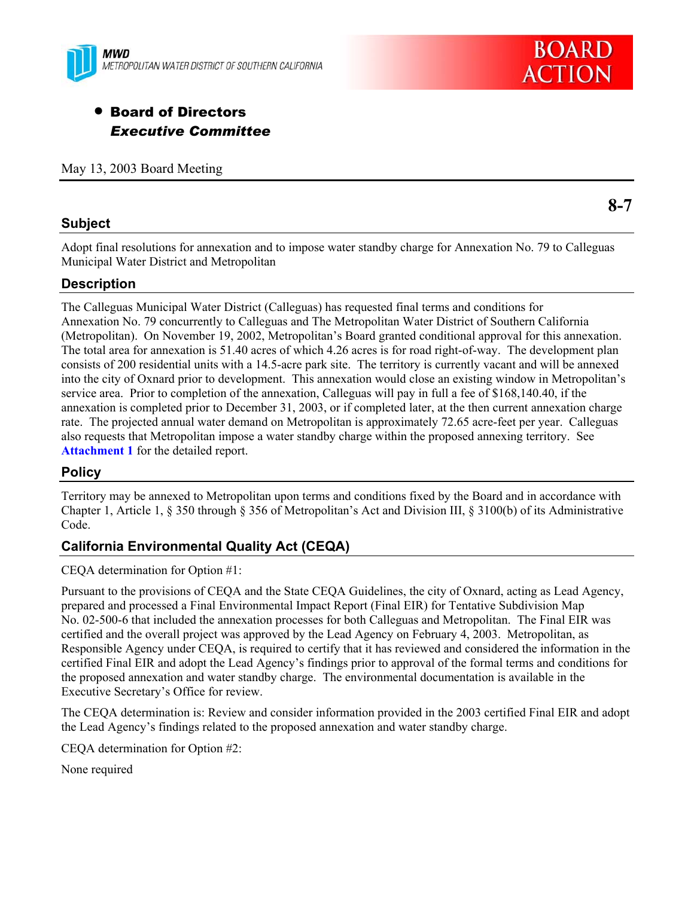



# **• Board of Directors** *Executive Committee*

May 13, 2003 Board Meeting

### **Subject**

**8-7** 

Adopt final resolutions for annexation and to impose water standby charge for Annexation No. 79 to Calleguas Municipal Water District and Metropolitan

# **Description**

The Calleguas Municipal Water District (Calleguas) has requested final terms and conditions for Annexation No. 79 concurrently to Calleguas and The Metropolitan Water District of Southern California (Metropolitan). On November 19, 2002, Metropolitan's Board granted conditional approval for this annexation. The total area for annexation is 51.40 acres of which 4.26 acres is for road right-of-way. The development plan consists of 200 residential units with a 14.5-acre park site. The territory is currently vacant and will be annexed into the city of Oxnard prior to development. This annexation would close an existing window in Metropolitan's service area. Prior to completion of the annexation, Calleguas will pay in full a fee of \$168,140.40, if the annexation is completed prior to December 31, 2003, or if completed later, at the then current annexation charge rate. The projected annual water demand on Metropolitan is approximately 72.65 acre-feet per year. Calleguas also requests that Metropolitan impose a water standby charge within the proposed annexing territory. See **Attachment 1** for the detailed report.

# **Policy**

Territory may be annexed to Metropolitan upon terms and conditions fixed by the Board and in accordance with Chapter 1, Article 1, § 350 through § 356 of Metropolitan's Act and Division III, § 3100(b) of its Administrative Code.

# **California Environmental Quality Act (CEQA)**

CEQA determination for Option #1:

Pursuant to the provisions of CEQA and the State CEQA Guidelines, the city of Oxnard, acting as Lead Agency, prepared and processed a Final Environmental Impact Report (Final EIR) for Tentative Subdivision Map No. 02-500-6 that included the annexation processes for both Calleguas and Metropolitan. The Final EIR was certified and the overall project was approved by the Lead Agency on February 4, 2003. Metropolitan, as Responsible Agency under CEQA, is required to certify that it has reviewed and considered the information in the certified Final EIR and adopt the Lead Agency's findings prior to approval of the formal terms and conditions for the proposed annexation and water standby charge. The environmental documentation is available in the Executive Secretary's Office for review.

The CEQA determination is: Review and consider information provided in the 2003 certified Final EIR and adopt the Lead Agency's findings related to the proposed annexation and water standby charge.

CEQA determination for Option #2:

None required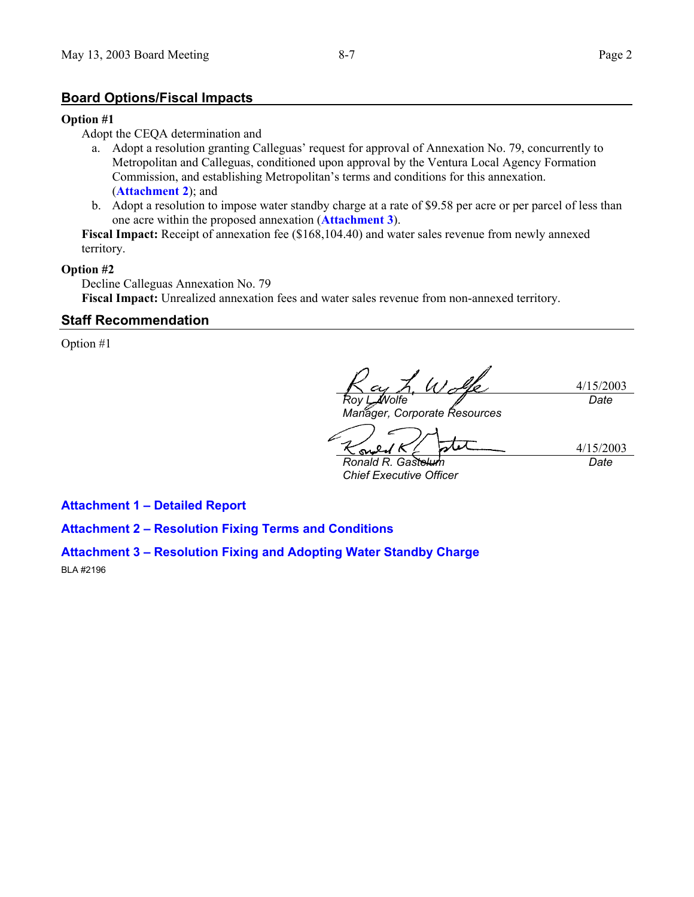#### **Board Options/Fiscal Impacts**

#### **Option #1**

Adopt the CEQA determination and

- a. Adopt a resolution granting Calleguas' request for approval of Annexation No. 79, concurrently to Metropolitan and Calleguas, conditioned upon approval by the Ventura Local Agency Formation Commission, and establishing Metropolitan's terms and conditions for this annexation. (**Attachment 2**); and
- b. Adopt a resolution to impose water standby charge at a rate of \$9.58 per acre or per parcel of less than one acre within the proposed annexation (**Attachment 3**).

**Fiscal Impact:** Receipt of annexation fee (\$168,104.40) and water sales revenue from newly annexed territory.

#### **Option #2**

Decline Calleguas Annexation No. 79 **Fiscal Impact:** Unrealized annexation fees and water sales revenue from non-annexed territory.

#### **Staff Recommendation**

Option #1

4/15/2003 *Roy L. Wolfe Date*

*Manager, Corporate Resources* 

4/15/2003 **Ronald R. Gaste** *Date*

*Chief Executive Officer* 

**Attachment 1 – Detailed Report** 

**Attachment 2 – Resolution Fixing Terms and Conditions** 

#### **Attachment 3 – Resolution Fixing and Adopting Water Standby Charge**

BLA #2196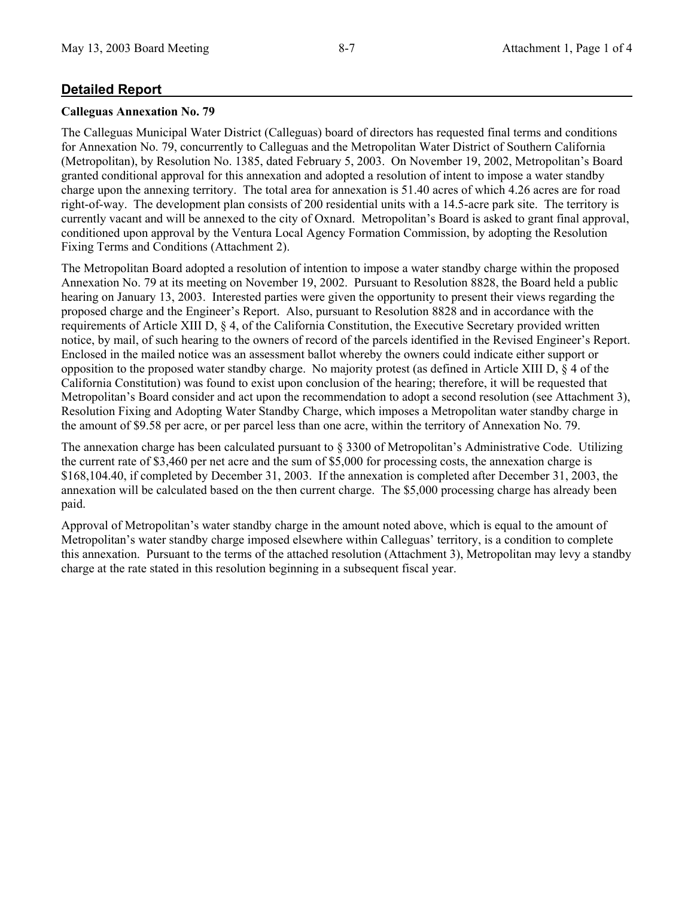### **Detailed Report**

#### **Calleguas Annexation No. 79**

The Calleguas Municipal Water District (Calleguas) board of directors has requested final terms and conditions for Annexation No. 79, concurrently to Calleguas and the Metropolitan Water District of Southern California (Metropolitan), by Resolution No. 1385, dated February 5, 2003. On November 19, 2002, Metropolitan's Board granted conditional approval for this annexation and adopted a resolution of intent to impose a water standby charge upon the annexing territory. The total area for annexation is 51.40 acres of which 4.26 acres are for road right-of-way. The development plan consists of 200 residential units with a 14.5-acre park site. The territory is currently vacant and will be annexed to the city of Oxnard. Metropolitan's Board is asked to grant final approval, conditioned upon approval by the Ventura Local Agency Formation Commission, by adopting the Resolution Fixing Terms and Conditions (Attachment 2).

The Metropolitan Board adopted a resolution of intention to impose a water standby charge within the proposed Annexation No. 79 at its meeting on November 19, 2002. Pursuant to Resolution 8828, the Board held a public hearing on January 13, 2003. Interested parties were given the opportunity to present their views regarding the proposed charge and the Engineer's Report. Also, pursuant to Resolution 8828 and in accordance with the requirements of Article XIII D, § 4, of the California Constitution, the Executive Secretary provided written notice, by mail, of such hearing to the owners of record of the parcels identified in the Revised Engineer's Report. Enclosed in the mailed notice was an assessment ballot whereby the owners could indicate either support or opposition to the proposed water standby charge. No majority protest (as defined in Article XIII D, § 4 of the California Constitution) was found to exist upon conclusion of the hearing; therefore, it will be requested that Metropolitan's Board consider and act upon the recommendation to adopt a second resolution (see Attachment 3), Resolution Fixing and Adopting Water Standby Charge, which imposes a Metropolitan water standby charge in the amount of \$9.58 per acre, or per parcel less than one acre, within the territory of Annexation No. 79.

The annexation charge has been calculated pursuant to § 3300 of Metropolitan's Administrative Code. Utilizing the current rate of \$3,460 per net acre and the sum of \$5,000 for processing costs, the annexation charge is \$168,104.40, if completed by December 31, 2003. If the annexation is completed after December 31, 2003, the annexation will be calculated based on the then current charge. The \$5,000 processing charge has already been paid.

Approval of Metropolitan's water standby charge in the amount noted above, which is equal to the amount of Metropolitan's water standby charge imposed elsewhere within Calleguas' territory, is a condition to complete this annexation. Pursuant to the terms of the attached resolution (Attachment 3), Metropolitan may levy a standby charge at the rate stated in this resolution beginning in a subsequent fiscal year.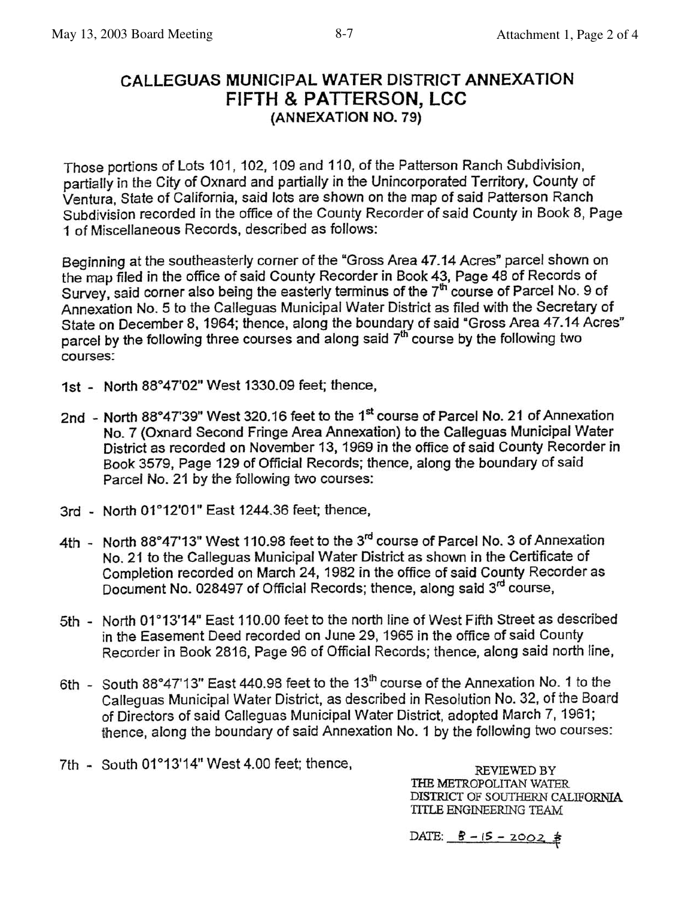# CALLEGUAS MUNICIPAL WATER DISTRICT ANNEXATION **FIFTH & PATTERSON, LCC** (ANNEXATION NO. 79)

Those portions of Lots 101, 102, 109 and 110, of the Patterson Ranch Subdivision, partially in the City of Oxnard and partially in the Unincorporated Territory, County of Ventura. State of California, said lots are shown on the map of said Patterson Ranch Subdivision recorded in the office of the County Recorder of said County in Book 8, Page 1 of Miscellaneous Records, described as follows:

Beginning at the southeasterly corner of the "Gross Area 47.14 Acres" parcel shown on the map filed in the office of said County Recorder in Book 43, Page 48 of Records of Survey, said corner also being the easterly terminus of the 7<sup>th</sup> course of Parcel No. 9 of Annexation No. 5 to the Calleguas Municipal Water District as filed with the Secretary of State on December 8, 1964; thence, along the boundary of said "Gross Area 47.14 Acres" parcel by the following three courses and along said 7<sup>th</sup> course by the following two courses:

- 1st North 88°47'02" West 1330.09 feet; thence,
- 2nd North 88°47'39" West 320.16 feet to the 1<sup>st</sup> course of Parcel No. 21 of Annexation No. 7 (Oxnard Second Fringe Area Annexation) to the Calleguas Municipal Water District as recorded on November 13, 1969 in the office of said County Recorder in Book 3579, Page 129 of Official Records; thence, along the boundary of said Parcel No. 21 by the following two courses:
- 3rd North 01°12'01" East 1244.36 feet; thence,
- 4th North 88°47'13" West 110.98 feet to the 3rd course of Parcel No. 3 of Annexation No. 21 to the Calleguas Municipal Water District as shown in the Certificate of Completion recorded on March 24, 1982 in the office of said County Recorder as Document No. 028497 of Official Records; thence, along said 3<sup>rd</sup> course,
- 5th North 01°13'14" East 110.00 feet to the north line of West Fifth Street as described in the Easement Deed recorded on June 29, 1965 in the office of said County Recorder in Book 2816, Page 96 of Official Records; thence, along said north line,
- 6th South 88°47'13" East 440.98 feet to the 13<sup>th</sup> course of the Annexation No. 1 to the Calleguas Municipal Water District, as described in Resolution No. 32, of the Board of Directors of said Calleguas Municipal Water District, adopted March 7, 1961; thence, along the boundary of said Annexation No. 1 by the following two courses:
- 7th South 01°13'14" West 4.00 feet; thence,

REVIEWED BY THE METROPOLITAN WATER DISTRICT OF SOUTHERN CALIFORNIA TITLE ENGINEERING TEAM

DATE:  $\frac{8 - 15 - 2002}{6}$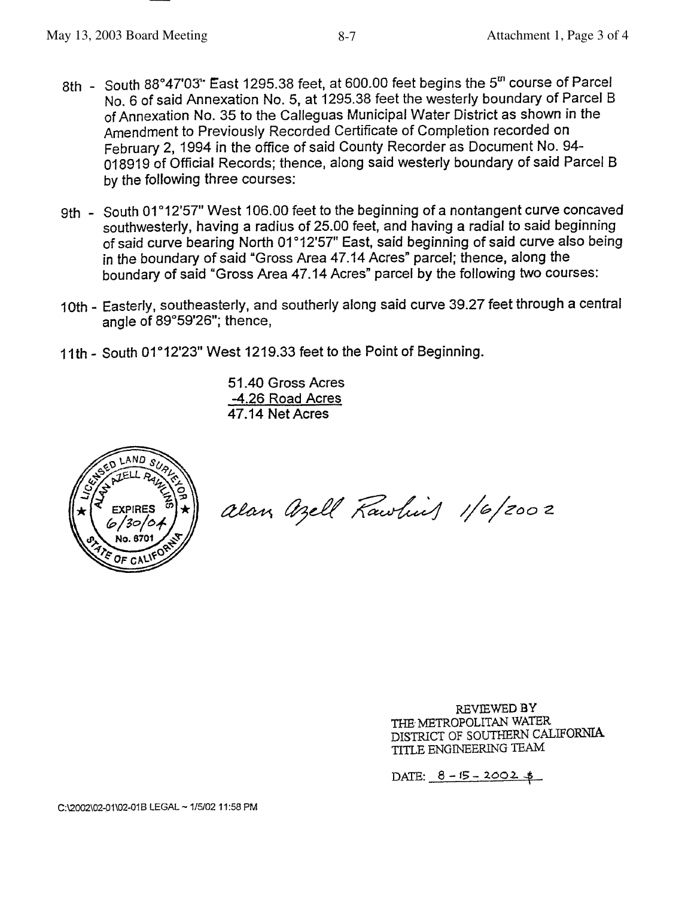- 8th South 88°47'03" East 1295.38 feet, at 600.00 feet begins the 5<sup>th</sup> course of Parcel No. 6 of said Annexation No. 5, at 1295.38 feet the westerly boundary of Parcel B of Annexation No. 35 to the Calleguas Municipal Water District as shown in the Amendment to Previously Recorded Certificate of Completion recorded on February 2, 1994 in the office of said County Recorder as Document No. 94-018919 of Official Records; thence, along said westerly boundary of said Parcel B by the following three courses:
- 9th South 01°12'57" West 106.00 feet to the beginning of a nontangent curve concaved southwesterly, having a radius of 25.00 feet, and having a radial to said beginning of said curve bearing North 01°12'57" East, said beginning of said curve also being in the boundary of said "Gross Area 47.14 Acres" parcel; thence, along the boundary of said "Gross Area 47.14 Acres" parcel by the following two courses:
- 10th Easterly, southeasterly, and southerly along said curve 39.27 feet through a central angle of 89°59'26"; thence,
- 11th South 01°12'23" West 1219.33 feet to the Point of Beginning.

51.40 Gross Acres -4.26 Road Acres 47.14 Net Acres



alan Azell Rawling 1/6/2002

REVIEWED BY THE METROPOLITAN WATER DISTRICT OF SOUTHERN CALIFORNIA TITLE ENGINEERING TEAM

DATE:  $8 - 15 - 2002 +$ 

C:\2002\02-01\02-01B LEGAL ~ 1/5/02 11:58 PM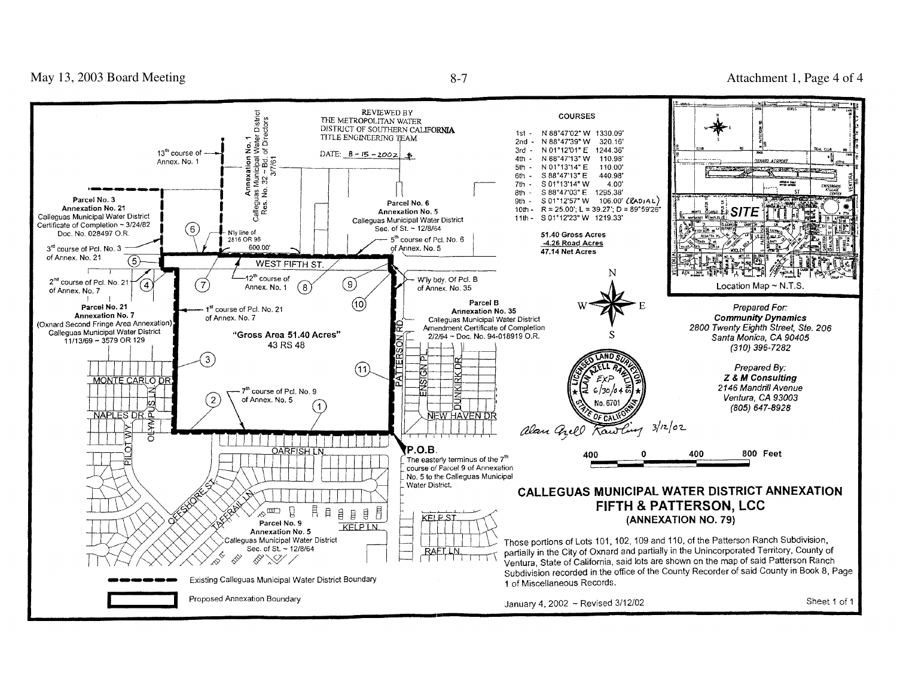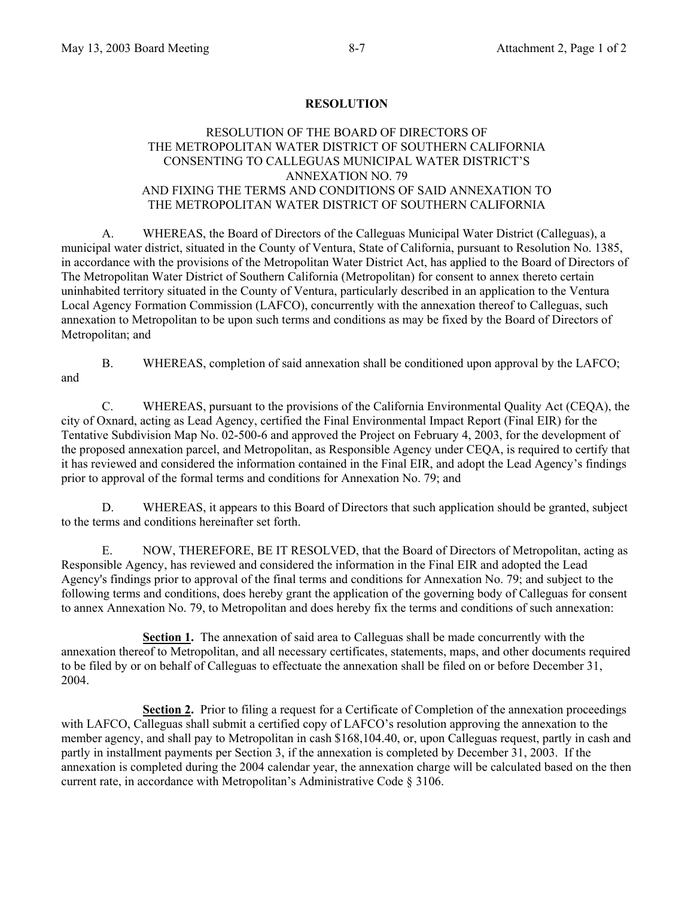#### **RESOLUTION**

#### RESOLUTION OF THE BOARD OF DIRECTORS OF THE METROPOLITAN WATER DISTRICT OF SOUTHERN CALIFORNIA CONSENTING TO CALLEGUAS MUNICIPAL WATER DISTRICT'S ANNEXATION NO. 79 AND FIXING THE TERMS AND CONDITIONS OF SAID ANNEXATION TO THE METROPOLITAN WATER DISTRICT OF SOUTHERN CALIFORNIA

 A. WHEREAS, the Board of Directors of the Calleguas Municipal Water District (Calleguas), a municipal water district, situated in the County of Ventura, State of California, pursuant to Resolution No. 1385, in accordance with the provisions of the Metropolitan Water District Act, has applied to the Board of Directors of The Metropolitan Water District of Southern California (Metropolitan) for consent to annex thereto certain uninhabited territory situated in the County of Ventura, particularly described in an application to the Ventura Local Agency Formation Commission (LAFCO), concurrently with the annexation thereof to Calleguas, such annexation to Metropolitan to be upon such terms and conditions as may be fixed by the Board of Directors of Metropolitan; and

 B. WHEREAS, completion of said annexation shall be conditioned upon approval by the LAFCO; and

C. WHEREAS, pursuant to the provisions of the California Environmental Quality Act (CEQA), the city of Oxnard, acting as Lead Agency, certified the Final Environmental Impact Report (Final EIR) for the Tentative Subdivision Map No. 02-500-6 and approved the Project on February 4, 2003, for the development of the proposed annexation parcel, and Metropolitan, as Responsible Agency under CEQA, is required to certify that it has reviewed and considered the information contained in the Final EIR, and adopt the Lead Agency's findings prior to approval of the formal terms and conditions for Annexation No. 79; and

 D. WHEREAS, it appears to this Board of Directors that such application should be granted, subject to the terms and conditions hereinafter set forth.

 E. NOW, THEREFORE, BE IT RESOLVED, that the Board of Directors of Metropolitan, acting as Responsible Agency, has reviewed and considered the information in the Final EIR and adopted the Lead Agency's findings prior to approval of the final terms and conditions for Annexation No. 79; and subject to the following terms and conditions, does hereby grant the application of the governing body of Calleguas for consent to annex Annexation No. 79, to Metropolitan and does hereby fix the terms and conditions of such annexation:

**Section 1.** The annexation of said area to Calleguas shall be made concurrently with the annexation thereof to Metropolitan, and all necessary certificates, statements, maps, and other documents required to be filed by or on behalf of Calleguas to effectuate the annexation shall be filed on or before December 31, 2004.

**Section 2.** Prior to filing a request for a Certificate of Completion of the annexation proceedings with LAFCO, Calleguas shall submit a certified copy of LAFCO's resolution approving the annexation to the member agency, and shall pay to Metropolitan in cash \$168,104.40, or, upon Calleguas request, partly in cash and partly in installment payments per Section 3, if the annexation is completed by December 31, 2003. If the annexation is completed during the 2004 calendar year, the annexation charge will be calculated based on the then current rate, in accordance with Metropolitan's Administrative Code § 3106.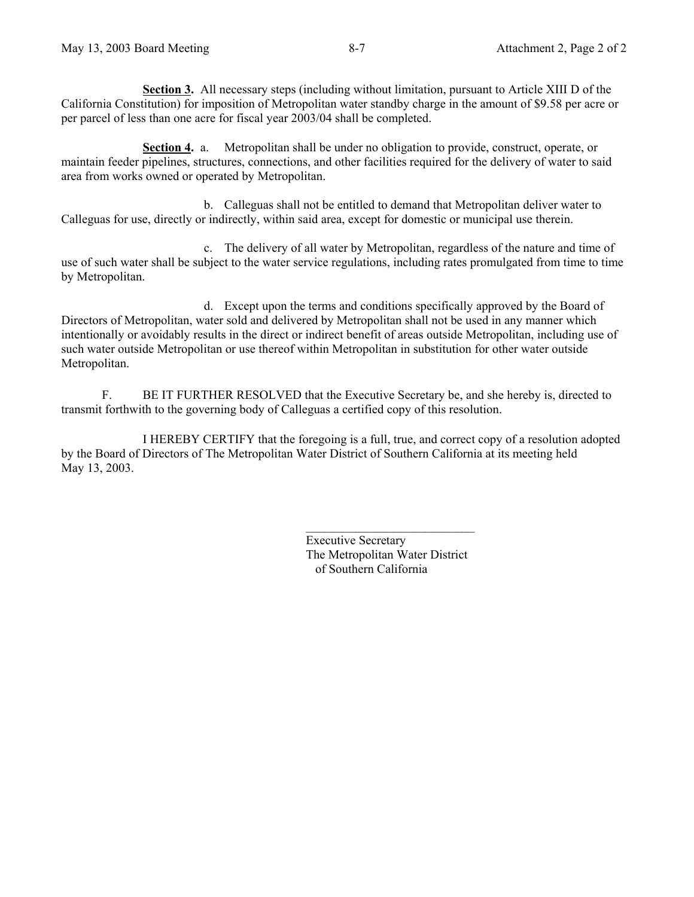**Section 3.** All necessary steps (including without limitation, pursuant to Article XIII D of the California Constitution) for imposition of Metropolitan water standby charge in the amount of \$9.58 per acre or per parcel of less than one acre for fiscal year 2003/04 shall be completed.

**Section 4.** a. Metropolitan shall be under no obligation to provide, construct, operate, or maintain feeder pipelines, structures, connections, and other facilities required for the delivery of water to said area from works owned or operated by Metropolitan.

 b. Calleguas shall not be entitled to demand that Metropolitan deliver water to Calleguas for use, directly or indirectly, within said area, except for domestic or municipal use therein.

 c. The delivery of all water by Metropolitan, regardless of the nature and time of use of such water shall be subject to the water service regulations, including rates promulgated from time to time by Metropolitan.

d. Except upon the terms and conditions specifically approved by the Board of Directors of Metropolitan, water sold and delivered by Metropolitan shall not be used in any manner which intentionally or avoidably results in the direct or indirect benefit of areas outside Metropolitan, including use of such water outside Metropolitan or use thereof within Metropolitan in substitution for other water outside Metropolitan.

F. BE IT FURTHER RESOLVED that the Executive Secretary be, and she hereby is, directed to transmit forthwith to the governing body of Calleguas a certified copy of this resolution.

 I HEREBY CERTIFY that the foregoing is a full, true, and correct copy of a resolution adopted by the Board of Directors of The Metropolitan Water District of Southern California at its meeting held May 13, 2003.

> Executive Secretary The Metropolitan Water District of Southern California

 $\mathcal{L}_\text{max}$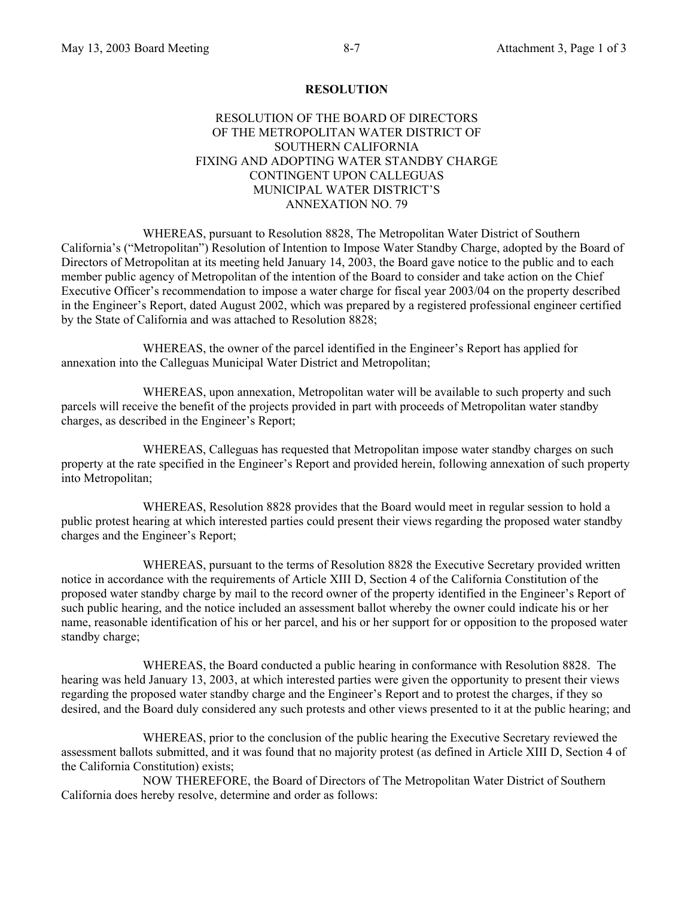#### **RESOLUTION**

#### RESOLUTION OF THE BOARD OF DIRECTORS OF THE METROPOLITAN WATER DISTRICT OF SOUTHERN CALIFORNIA FIXING AND ADOPTING WATER STANDBY CHARGE CONTINGENT UPON CALLEGUAS MUNICIPAL WATER DISTRICT'S ANNEXATION NO. 79

 WHEREAS, pursuant to Resolution 8828, The Metropolitan Water District of Southern California's ("Metropolitan") Resolution of Intention to Impose Water Standby Charge, adopted by the Board of Directors of Metropolitan at its meeting held January 14, 2003, the Board gave notice to the public and to each member public agency of Metropolitan of the intention of the Board to consider and take action on the Chief Executive Officer's recommendation to impose a water charge for fiscal year 2003/04 on the property described in the Engineer's Report, dated August 2002, which was prepared by a registered professional engineer certified by the State of California and was attached to Resolution 8828;

 WHEREAS, the owner of the parcel identified in the Engineer's Report has applied for annexation into the Calleguas Municipal Water District and Metropolitan;

 WHEREAS, upon annexation, Metropolitan water will be available to such property and such parcels will receive the benefit of the projects provided in part with proceeds of Metropolitan water standby charges, as described in the Engineer's Report;

 WHEREAS, Calleguas has requested that Metropolitan impose water standby charges on such property at the rate specified in the Engineer's Report and provided herein, following annexation of such property into Metropolitan;

 WHEREAS, Resolution 8828 provides that the Board would meet in regular session to hold a public protest hearing at which interested parties could present their views regarding the proposed water standby charges and the Engineer's Report;

 WHEREAS, pursuant to the terms of Resolution 8828 the Executive Secretary provided written notice in accordance with the requirements of Article XIII D, Section 4 of the California Constitution of the proposed water standby charge by mail to the record owner of the property identified in the Engineer's Report of such public hearing, and the notice included an assessment ballot whereby the owner could indicate his or her name, reasonable identification of his or her parcel, and his or her support for or opposition to the proposed water standby charge;

 WHEREAS, the Board conducted a public hearing in conformance with Resolution 8828. The hearing was held January 13, 2003, at which interested parties were given the opportunity to present their views regarding the proposed water standby charge and the Engineer's Report and to protest the charges, if they so desired, and the Board duly considered any such protests and other views presented to it at the public hearing; and

 WHEREAS, prior to the conclusion of the public hearing the Executive Secretary reviewed the assessment ballots submitted, and it was found that no majority protest (as defined in Article XIII D, Section 4 of the California Constitution) exists;

 NOW THEREFORE, the Board of Directors of The Metropolitan Water District of Southern California does hereby resolve, determine and order as follows: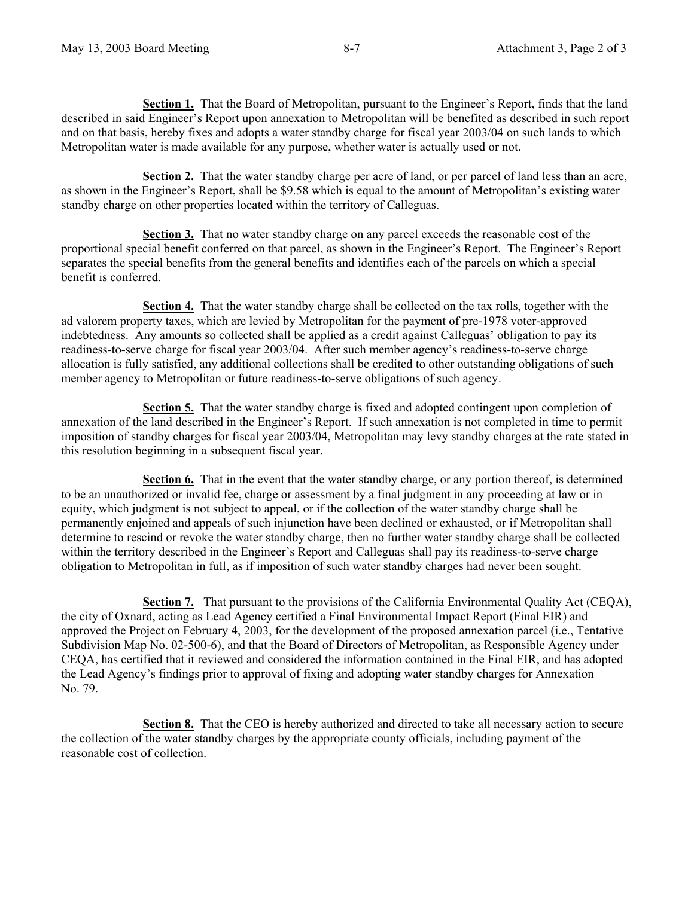**Section 1.** That the Board of Metropolitan, pursuant to the Engineer's Report, finds that the land described in said Engineer's Report upon annexation to Metropolitan will be benefited as described in such report and on that basis, hereby fixes and adopts a water standby charge for fiscal year 2003/04 on such lands to which Metropolitan water is made available for any purpose, whether water is actually used or not.

**Section 2.** That the water standby charge per acre of land, or per parcel of land less than an acre, as shown in the Engineer's Report, shall be \$9.58 which is equal to the amount of Metropolitan's existing water standby charge on other properties located within the territory of Calleguas.

**Section 3.** That no water standby charge on any parcel exceeds the reasonable cost of the proportional special benefit conferred on that parcel, as shown in the Engineer's Report. The Engineer's Report separates the special benefits from the general benefits and identifies each of the parcels on which a special benefit is conferred.

**Section 4.** That the water standby charge shall be collected on the tax rolls, together with the ad valorem property taxes, which are levied by Metropolitan for the payment of pre-1978 voter-approved indebtedness. Any amounts so collected shall be applied as a credit against Calleguas' obligation to pay its readiness-to-serve charge for fiscal year 2003/04. After such member agency's readiness-to-serve charge allocation is fully satisfied, any additional collections shall be credited to other outstanding obligations of such member agency to Metropolitan or future readiness-to-serve obligations of such agency.

**Section 5.** That the water standby charge is fixed and adopted contingent upon completion of annexation of the land described in the Engineer's Report. If such annexation is not completed in time to permit imposition of standby charges for fiscal year 2003/04, Metropolitan may levy standby charges at the rate stated in this resolution beginning in a subsequent fiscal year.

**Section 6.** That in the event that the water standby charge, or any portion thereof, is determined to be an unauthorized or invalid fee, charge or assessment by a final judgment in any proceeding at law or in equity, which judgment is not subject to appeal, or if the collection of the water standby charge shall be permanently enjoined and appeals of such injunction have been declined or exhausted, or if Metropolitan shall determine to rescind or revoke the water standby charge, then no further water standby charge shall be collected within the territory described in the Engineer's Report and Calleguas shall pay its readiness-to-serve charge obligation to Metropolitan in full, as if imposition of such water standby charges had never been sought.

**Section 7.** That pursuant to the provisions of the California Environmental Quality Act (CEQA), the city of Oxnard, acting as Lead Agency certified a Final Environmental Impact Report (Final EIR) and approved the Project on February 4, 2003, for the development of the proposed annexation parcel (i.e., Tentative Subdivision Map No. 02-500-6), and that the Board of Directors of Metropolitan, as Responsible Agency under CEQA, has certified that it reviewed and considered the information contained in the Final EIR, and has adopted the Lead Agency's findings prior to approval of fixing and adopting water standby charges for Annexation No. 79.

**Section 8.** That the CEO is hereby authorized and directed to take all necessary action to secure the collection of the water standby charges by the appropriate county officials, including payment of the reasonable cost of collection.